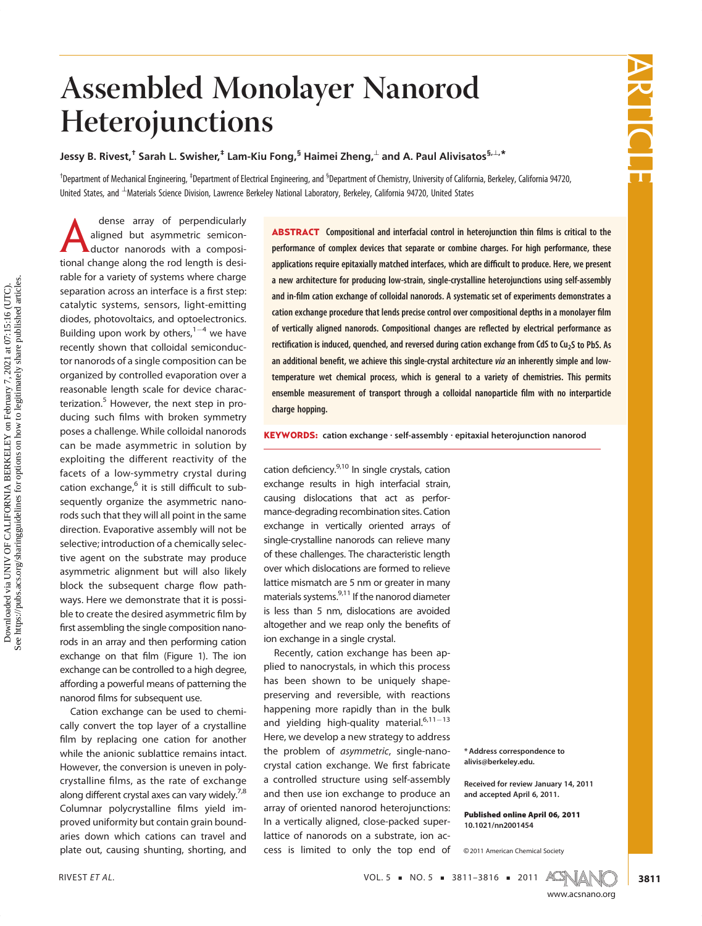## Assembled Monolayer Nanorod Heterojunctions

Jessy B. Rivest, $^\dagger$  Sarah L. Swisher, $^\ddagger$  Lam-Kiu Fong, $^\mathsf{S}$  Haimei Zheng, $^\perp$  and A. Paul Alivisatos $^{\mathsf{S},\perp,\star}$ 

<sup>†</sup>Department of Mechanical Engineering, <sup>‡</sup>Department of Electrical Engineering, and <sup>§</sup>Department of Chemistry, University of California, Berkeley, California 94720, United States, and  $^\perp$ Materials Science Division, Lawrence Berkeley National Laboratory, Berkeley, California 94720, United States

dense array or perpendicularly<br>aligned but asymmetric semicon-<br>ductor nanorods with a composi- $\frac{1}{2}$  compact  $\frac{1}{2}$  and  $\frac{1}{2}$  seminoring the seminoring seminoring seminoring seminoring seminoring seminoring seminoring seminoring seminoring seminoring seminoring seminoring seminoring seminoring seminor  $\$ tional change along the rod length is desirable for a variety of systems where charge separation across an interface is a first step:<br>setablise systems, sepaces, light emitting catalytic systems, sensors, light-emitting<br>diodes, photovoltaics, and optoelectronics. Building upon work by others,  $1-4$  we have recently shown that colloidal semiconduc-<br>tor nanorods of a single composition can be organized by controlled evaporation over a reasonable length scale for device characterization.<sup>5</sup> However, the next step in proterization. However, the next step in pro-<br>ducing such films with broken symmetry<br>nesses challenge While calleidal paperade poses a challenge. While colloidal nanorods exploiting the different reactivity of the<br>facets of a low symmetry spytal dying  $\frac{6}{\pi}$  cation exchange,<sup>6</sup> it is still difficult to subsequently organize the asymmetric nano-<br>rods such that they will all point in the same direction. Evaporative assembly will not be selective: introduction of a chemically selective agent on the substrate may produce asymmetric alignment but will also likely block the subsequent charge flow pathways. Here we demonstrate that the possi-<br>ble to create the desired asymmetric film by first assembling the single composition nano-<br>rods in an array and then performing cation exchange on that film (Figure 1). The ion<br>exchange on that film (Figure 1). The ion exchange can be controlled to a high degree, affording a powerful means of patterning the

nanorod films for subsequent use.<br>Cation exchange can be used to chemically convert the top layer of a crystalline film by replacing one cation for another while the anionic sublattice remains intact.<br>However, the conversion is uneven in poly- $\frac{1}{2}$  crystalline films, as the rate of exchange<br>along different crystal axes can vary widely  $^{7,8}$ along different crystal axes can vary widely.<sup>7,8</sup> Columnar polycrystalline films yield im-<br>proved uniformity but contain grain boundaries down which cations can travel and a<br>and the cations chunting chesting and plate out, causing shunting, shorting, and

ABSTRACT Compositional and interfacial control in heterojunction thin films is critical to the performance of complex devices that separate or combine charges. For high performance, these applications require epitaxially matched interfaces, which are difficult to produce. Here, we present a new architecture for producing low-strain, single-crystalline heterojunctions using self-assembly and in-film cation exchange of colloidal nanorods. A systematic set of experiments demonstrates a cation exchange procedure that lends precise control over compositional depths in a monolayer film of vertically aligned nanorods. Compositional changes are reflected by electrical performance as rectification is induced, quenched, and reversed during cation exchange from CdS to Cu<sub>2</sub>S to PbS. As an additional benefit, we achieve this single-crystal architecture via an inherently simple and lowtemperature wet chemical process, which is general to a variety of chemistries. This permits ensemble measurement of transport through a colloidal nanoparticle film with no interparticle charge hopping.

KEYWORDS: cation exchange · self-assembly · epitaxial heterojunction nanorod

cation deficiency. $9,10$  In single crystals, cation exchange results in high interfacial strain, causing dislocations that act as performance-degrading recombination sites. Cation exchange in vertically oriented arrays of single-crystalline nanorods can relieve many of these challenges. The characteristic length over which dislocations are formed to relieve lattice mismatch are 5 nm or greater in many materials systems.<sup>9,11</sup> If the nanorod diameter is less than 5 nm, dislocations are avoided altogether and we reap only the benefits of ion exchange in a single crystal.<br>Recently, cation exchange has been ap-

plied to nanocrystals, in which this process has been shown to be uniquely shapepreserving and reversible, with reactions happening more rapidly than in the bulk and yielding high-quality material. $6,11-13$ <br>Llare we develope a new strategy to address the problem of *asymmetric*, single-nano-<br>spectal estion overhange. We first fabricate crystal cation exchange. We first fabricate<br>a controlled structure using self-assembly and then use ion exchange to produce an array of oriented nanorod heterojunctions: In a vertically aligned, close-packed superlattice of nanorods on a substrate, ion aclattice of nanorods on a substrate, ion access is limited to only the top end of

\* Address correspondence to alivis@berkeley.edu.

Received for review January 14, 2011 and accepted April 6, 2011.

Published online April 06, 2011 10.1021/nn2001454

<sup>C</sup> 2011 American Chemical Society



RIVEST ET AL.  $\overline{X}$  NOL. 5  $\overline{Y}$  NO. 5  $\overline{Y}$  3811–3816  $\overline{Y}$  2011 ACS



3811

www.acsnano.org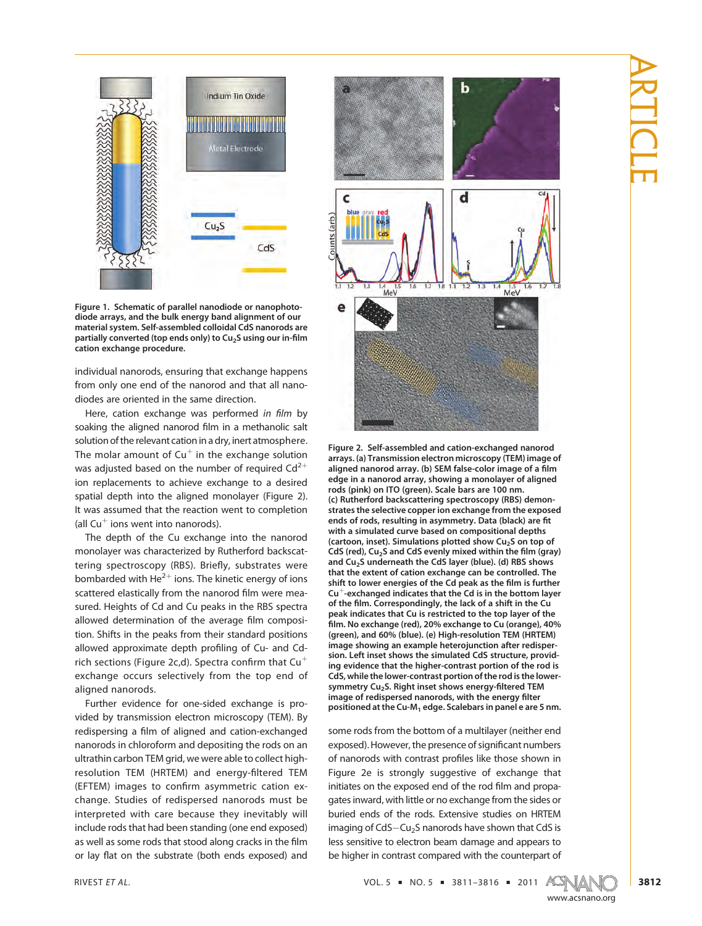

Figure 1. Schematic of parallel nanodiode or nanophotodiode arrays, and the bulk energy band alignment of our material system. Self-assembled colloidal CdS nanorods are partially converted (top ends only) to  $Cu<sub>2</sub>S$  using our in-film cation exchange procedure.

individual nanorods, ensuring that exchange happens diodes are oriented in the same direction.

Here, cation exchange was performed in film by socialize the slighted papered film in a methanolic call soaking the aligned nanorod film in a methanolic salt solution of the relevant cation in a dry, inert atmosphere. The molar amount of  $Cu<sup>+</sup>$  in the exchange solution in a directed based on the number of required  $Cd<sup>2+</sup>$ was adjusted based on the number of required  $Cd^{2+}$  ion replacements to achieve exchange to a desired spatial depth into the aligned monolayer (Figure 2). It was assumed that the reaction went to completion  $I = \text{R}$  all Cu<sup> $+$ </sup> ions went into nanorods).

The depth of the Cu exchange into the nanorod monolayer was characterized by Rutherford backscattering spectroscopy (RBS). Briefly, substrates were<br>bambarded with  $He^{2+}$  ions. The kinetic energy of ions bombarded with He<sup>2+</sup> ions. The kinetic energy of ions scattered elastically from the nanorod film were mea-<br>sured. Heights of Cd and Cu peaks in the RBS spectra sured. Heights of the average film composition  $\overline{\text{Shift}}$  in the nearly from their standard positions allowed approximate depth profiling of Cu- and Cd-<br>sich sostions (Figure 2s d), Spectra confirm that  $Cu<sup>+</sup>$ rich sections (Figure 2c,d). Spectra confirm that  $Cu<sup>+</sup>$  exchange occurs selectively from the top end of aligned nanorods.

Further evidence for one-sided exchange is provided by transmission electron microscopy (TEM). By redispersing a film of aligned and cation-exchanged<br>parameters in chloroform and denoting the rods on an nanorods in chloroform and depositing the rods on an ultrathin carbon TEM grid, we were able to collect highresolution TEM (HRTEM) and energy-filtered TEM<br>(EETEM) images to confirm asymmetric cation over (EFTEM) images to confirm asymmetric cation ex-<br>change. Studies of redispersed nanorods must be interpreted with care because they inevitably will include rods that had been standing (one end exposed) include roots that stood along cracks in the film<br>as well as some rods that stood along cracks in the film<br>as well as the substants (both ands avingsed) and or lay flat on the substrate (both ends exposed) and



Figure 2. Self-assembled and cation-exchanged nanorod arrays. (a) Transmission electron microscopy (TEM) image of aligned nanorod array. (b) SEM false-color image of a film edge in a nanorod array, showing a monolayer of aligned rods (pink) on ITO (green). Scale bars are 100 nm. (c) Rutherford backscattering spectroscopy (RBS) demonstrates the selective copper ion exchange from the exposed ends of rods, resulting in asymmetry. Data (black) are fit with a simulated curve based on compositional depths (cartoon, inset). Simulations plotted show  $Cu<sub>2</sub>S$  on top of CdS (red),  $Cu<sub>2</sub>S$  and CdS evenly mixed within the film (gray) and Cu<sub>2</sub>S underneath the CdS layer (blue). (d) RBS shows that the extent of cation exchange can be controlled. The shift to lower energies of the Cd peak as the film is further  $Cu<sup>+</sup>$ -exchanged indicates that the Cd is in the bottom layer of the film. Correspondingly, the lack of a shift in the Cu peak indicates that Cu is restricted to the top layer of the film. No exchange (red), 20% exchange to Cu (orange), 40% (green), and 60% (blue). (e) High-resolution TEM (HRTEM) image showing an example heterojunction after redispersion. Left inset shows the simulated CdS structure, providing evidence that the higher-contrast portion of the rod is CdS, while the lower-contrast portion of the rod is the lowersymmetry Cu<sub>2</sub>S. Right inset shows energy-filtered TEM image of redispersed nanorods, with the energy filter positioned at the Cu-M<sub>1</sub> edge. Scalebars in panel e are 5 nm.

exposed). However, the presence of significant numbers<br>of panerads with contract profiles like these shown in of nanorods with contrast profiles like those shown in<br>Figure 2e is strongly suggestive of exchange that initiates on the exposed end of the rod film and propa-<br>aster in word, with little or no exchange from the cider or gates inward, with little or no exchange from the sides or<br>buried ends of the rods. Extensive studies on HRTEM imaging of  $Cds - Cu_2S$  nanorods have shown that  $Cds$  is<br>less consitive to electron hoom domings and appears to less sensitive to electron beam damage and appears to be higher in contrast compared with the counterpart of

RIVEST ET AL.  $VOL. 5 = NO. 5 = 3811 - 3816 = 2011$   $ATM = 3811 - 3816$ 



www.accom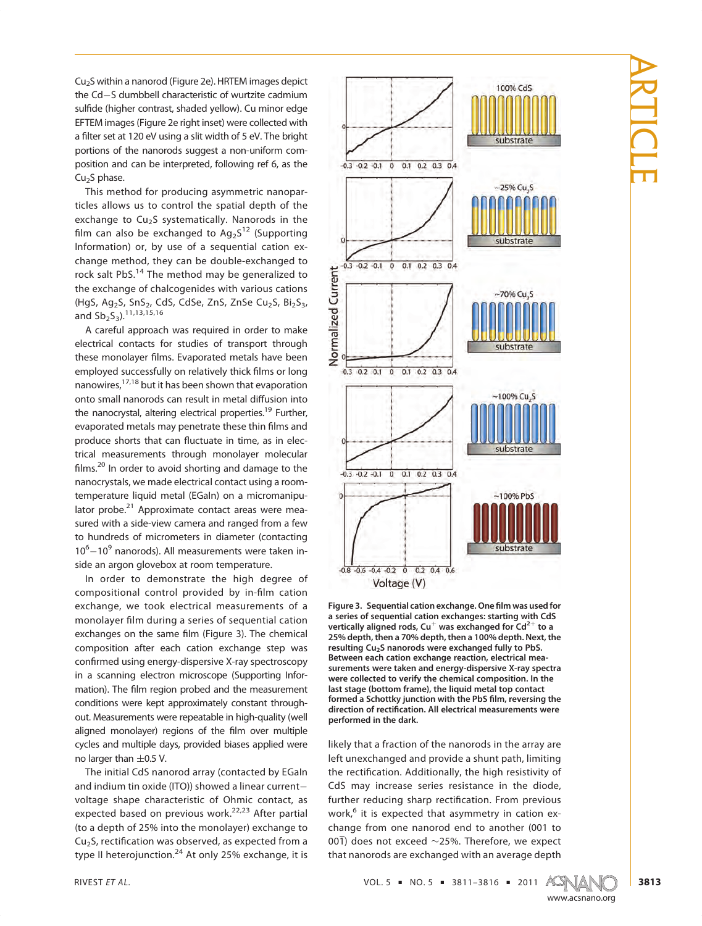the Cd-S dumbbell characteristic of wurtzite cadmium<br>sulfide (higher contract chaded vellow). Cu minor edge sulfide (higher contrast, shaded yellow). Cu minor edge<br>EFTEM images (Figure 2e right inset) were collected with a filter set at 120 eV using a slit width of 5 eV. The bright parties of the paper of using a slit width of 5 eV. The bright portions of the nanorods suggest a non-uniform com-<br>position and can be interpreted, following ref 6, as the  $Cu<sub>2</sub>S$  phase.

This method for producing asymmetric nanoparticles allows us to control the spatial depth of the exchange to  $Cu<sub>2</sub>S$  systematically. Nanorods in the film can also be exchanged to  $\text{Ag}_2\text{S}^{12}$  (Supporting<br>Information) or by use of a soquential sation over Information) or, by use of a sequential cation ex-<br>change method, they can be double-exchanged to rock salt PbS. $^{14}$  The method may be generalized to the exchange of chalcogenides with various cations (HgS, Ag<sub>2</sub>S, SnS<sub>2</sub>, CdS, CdSe, ZnS, ZnSe Cu<sub>2</sub>S, Bi<sub>2</sub>S<sub>3</sub>, and  $\frac{S_{2}}{S_{3}}$ , 11, 13, 15, 16<br>
A careful approach was required in order to make

A careful approach was required in order to make electrical contacts for studies of transport through these monolayer films. Evaporated metals have been<br>employed successfully on relatively thick films or long employed successfully on relatively thick films or long<br>nanowires,<sup>17,18</sup> but it has been shown that evaporation nanowires, 17,19 but it has been shown that evaporation<br>onto small nanorods can result in metal diffusion into<br>the panocartal altering electrical preparties <sup>19</sup> Eurther the nanocrystal, altering electrical properties.<sup>19</sup> Further,<br>evaporated metals may penetrate these thin films and<br>produce shorts that can fluctuate in time as in elecproduce shorts that can fluctuate in time, as in electrical measurements through monolayer molecular films.<sup>20</sup> In order to avoid shorting and damage to the monographic we made electrical contact using a room. nanocrystals, we made electrical contact using a roomlator probe. $^{21}$  Approximate contact areas were measured with a side-view camera and ranged from a few to hundreds of micrometers in diameter (contacting  $10<sup>6</sup> - 10<sup>9</sup>$  nanorods). All measurements were taken inside an argon glovebox at room temperature.

In order to demonstrate the high degree of compositional control provided by in-film cation<br>oxchange we took electrical measurements of a  $\frac{1}{2}$  exchanger film during a series of sequential cation<br>methods of the came film (Figure 2). The chamical exchanges on the same film (Figure 3). The chemical composition after each cation exchange step was confirmed using energy-dispersive X-ray spectroscopy<br>in a scanning electron microscope (Supporting Information) mation). The film region probed and the measurement conditions were kept approximately constant through-<br>out. Measurements were repeatable in high-quality (well aligned monolayer) regions of the film over multiple<br>axels and multiple days provided biases applied were  $\frac{1}{2}$  and multiple days, provided which multiple days applied were no larger than  $\pm$ 0.5 V.

The initial CdS nanorod array (contacted by EGaIn and indium tin oxide (ITO)) showed a linear currentvoltage shape characteristic of Ohmic contact, as  $\alpha$  are characteristic of  $\alpha$  of  $\alpha$  or  $\alpha$  or  $\alpha$  or  $\alpha$  of  $\alpha$  of  $\alpha$  of  $\alpha$  of  $\alpha$  or  $\alpha$  or  $\alpha$  or  $\alpha$  or  $\alpha$  or  $\alpha$  or  $\alpha$  or  $\alpha$  or  $\alpha$  or  $\alpha$  or  $\alpha$  or  $\alpha$  or  $\alpha$  or  $\alpha$  or  $\alpha$  or  $\alpha$  or  $\$ expected based on previous work.<sup>22,23</sup> After partial<br>the adopth of 25% into the monolayer) exchange to  $\text{Cu}_2\text{S}$ , rectification was observed, as expected from a<br>time II betereiunction  $24$  At only 25% overhange it is type II heterojunction. $^{24}$  At only 25% exchange, it is



Figure 3. Sequential cation exchange. One film was used for a series of sequential cation exchanges: starting with CdS vertically aligned rods, Cu<sup>+</sup> was exchanged for Cd<sup>2+</sup> to a 25% depth, then a 70% depth, then a 100% depth. Next, the resulting Cu<sub>2</sub>S nanorods were exchanged fully to PbS. Between each cation exchange reaction, electrical measurements were taken and energy-dispersive X-ray spectra were collected to verify the chemical composition. In the last stage (bottom frame), the liquid metal top contact formed a Schottky junction with the PbS film, reversing the direction of rectification. All electrical measurements were performed in the dark.

likely that a fraction of the nanorods in the array are left unexchanged and provide a shunt path, limiting the rectification. Additionally, the high resistivity of<br>CdS, may increase series resistance in the diade further reducing sharp rectification. From previous the distance in the divide  $\frac{6}{15}$  it is expected that acummatry in eatien over work, $6$  it is expected that asymmetry in cation ex-<br>change from one nanorod end to another (001 to 001) does not exceed  $\sim$ 25%. Therefore, we expect that nanorods are exchanged with an average depth that nanorods are exchanged with an average depth

## ARTICLE

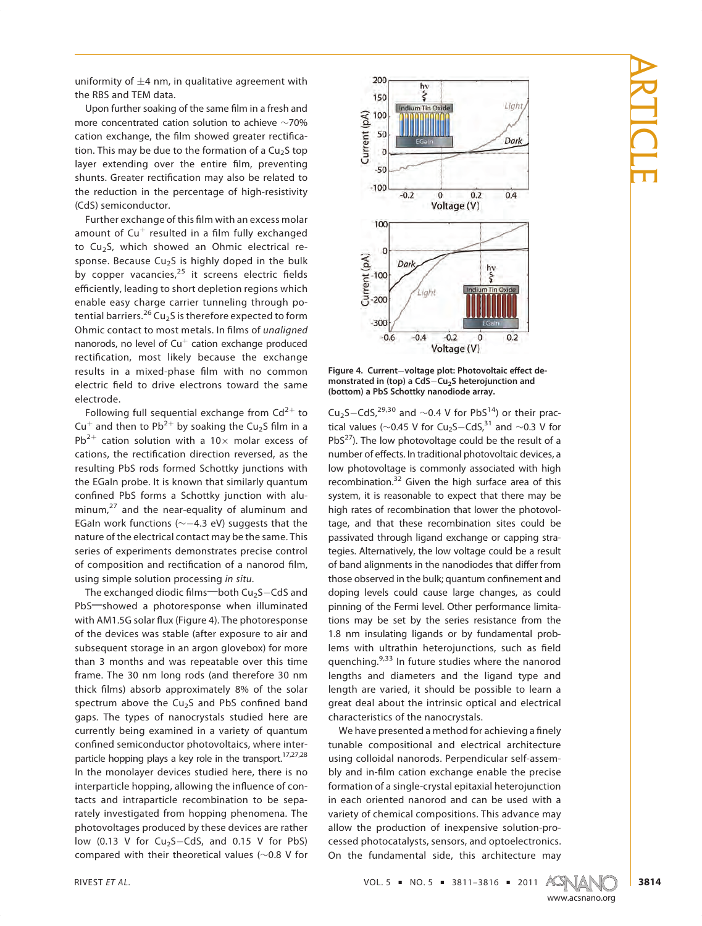uniformity of  $\pm 4$  nm, in qualitative agreement with the RBS and TEM data.

Upon further soaking of the same film in a fresh and<br>more concentrated cation solution to achiove e 70% more concentrated cation solution to achieve ∼70%<br>cation exchange, the film showed greater rectifica-<br>tion. This may be dua to the formation of a Gu S ton the due to the due to the formation. The due to the formation of a Cu2S top  $\frac{1}{2}$  to the context set  $\frac{1}{2}$  context set  $\frac{1}{2}$  context set  $\frac{1}{2}$  context set  $\frac{1}{2}$  context set  $\frac{1}{2}$  context set  $\frac{1}{$ shunts. Greater rectification may also be related to the reduction in the percentage of high-resistivity (CdS) semiconductor.

Further exchange of this film with an excess molar<br>amount of  $\text{Cut}^+$  resulted in a film fully exchanged amount of Cu<sup>+</sup> resulted in a film fully exchanged<br>to Cu<sub>2</sub>S, which showed an Ohmic electrical response. Because Cu<sub>2</sub>S is highly doped in the bulk sponses. Because Cu2S is the bulk of the bulk of  $\frac{25}{10}$  it screens electric fields efficiently loading to chart depletion regions which efficiently, leading to short depletion regions which<br>enable easy charge carrier tunneling through potential barriers.<sup>26</sup> Cu<sub>2</sub>S is therefore expected to form<br>Obmic contact to most matals. In films of unaligned Ohmic contact to most metals. In films of unaligned nanorods, no level of  $Cu<sup>+</sup>$  cation exchange produced rectification, most likely because the exchange results in a mixed-phase film with no common electric field to drive electrons toward the same electrode.

Following full sequential exchange from  $Cd^{2+}$  to  $Cu^{+}$  and then to  $Dh^{2+}$  by soaking the Cu S film in a Cu<sup>+</sup> and then to Pb<sup>2+</sup> by soaking the Cu<sub>2</sub>S film in a Pb<sup>2+</sup> cation solution with a 10 $\times$  molar excess of cations, the rectification direction reversed, as the resulting PbS rods formed Schottky junctions with the EGaln probe. It is known that similarly quantum confined PbS forms a Schottky junction with alu-<br>minum  $\frac{27}{3}$  and the near equality of aluminum and minum,<sup>27</sup> and the near-equality of aluminum and EGaln work functions ( $\sim$  -4.3 eV) suggests that the nature of the electrical contact may be the same. This series of experiments demonstrates precise control of composition and rectification of a nanorod film, using simple solution processing in situ.

The exchanged diodic films—both  $Cu<sub>2</sub>S-CdS$  and PbS-showed a photoresponse when illuminated with AM1.5G solar flux (Figure 4). The photoresponse of the devices was stable (after exposure to air and subsequent storage in an argon glovebox) for more than 3 months and was repeatable over this time frame. The 30 nm long rods (and therefore 30 nm thick films) absorb approximately 8% of the solar<br>spectrum above the  $\overline{G}$  is and RbS confined band spectrum above the Cu<sub>2</sub>S and PbS confined band gaps. The types of nanocrystals studied here are currently being examined in a variety of quantum confined semiconductor photovoltaics, where inter-<br>particle begins a low a low vale in the transport  $\frac{17,27,28}{2}$ particle hopping plays a key role in the transport.<sup>17,27,28</sup> In the monolayer devices studied here, there is no Interparticle hopping, allowing the influence of con-<br>tasts and interparticle recombination to be seen tacts and intraparticle recombination to be sepa-<br>rately investigated from hopping phenomena. The photovoltages produced by these devices are rather low (0.13 V for  $Cu<sub>2</sub>S-CdS$ , and 0.15 V for PbS) low (0.13 V for  $\text{Cu}_2\text{S}-\text{Ca}_2$ , and 0.15 V for PbS)<br>compared with their theoretical values (+ 0.8 V for compared with their theoretical values (∼0.8 V for





Cu<sub>2</sub>S–CdS,<sup>29,30</sup> and ∼0.4 V for PbS<sup>14</sup>) or their practical values (~0.45 V for Cu<sub>2</sub>S–CdS,<sup>31</sup> and ∼0.3 V for PbS<sup>27</sup>). The low photovoltage could be the result of a PbS<sup>2</sup>2). The low photovoltage could be the result of a<br>number of effects. In traditional photovoltaic devices, a<br>low photovoltage is commonly associated with bigh recombination.<sup>32</sup> Given the high surface area of this surface is considered with  $\frac{1}{2}$ system, it is reasonable to expect that there may be high rates of recombination that lower the photovoltage, and that these recombination sites could be passivated through ligand exchange or capping strategies. Alternatively, the low voltage could be a result the standard alignments in the nanodiodes that differ from<br>these observed in the bulk quantum confinement and those observed in the bulk; quantum confinement and doping levels could cause large changes, as could pinning of the Fermi level. Other performance limitations may be set by the series resistance from the 1.8 nm insulating ligands or by fundamental prob- $\frac{1}{2}$  lems with ultrathin heterojunctions, such as field  $\frac{233}{2}$  in future studies where the paper and quenching.<sup>9,33</sup> In future studies where the nanorod<br>lengths and diameters and the ligand type and length are varied, it should be possible to learn a great deal about the intrinsic optical and electrical characteristics of the nanocrystals.

We have presented a method for achieving a finely<br>tunable, compositional, and, electrical, architecture tunable compositional and electrical architecture<br>using colloidal nanorods. Perpendicular self-assembly and in-film cation exchange enable the precise<br>bly and in-film cation exchange enable the precise formation of a single-crystal epitaxial heterojunction variety of chemical compositions. This advance may allow the production of inexpensive solution-processed photocatalysts, sensors, and optoelectronics.  $\overline{c}$  change photocalation photocalation is  $\overline{c}$ On the fundamental side, this architecture may

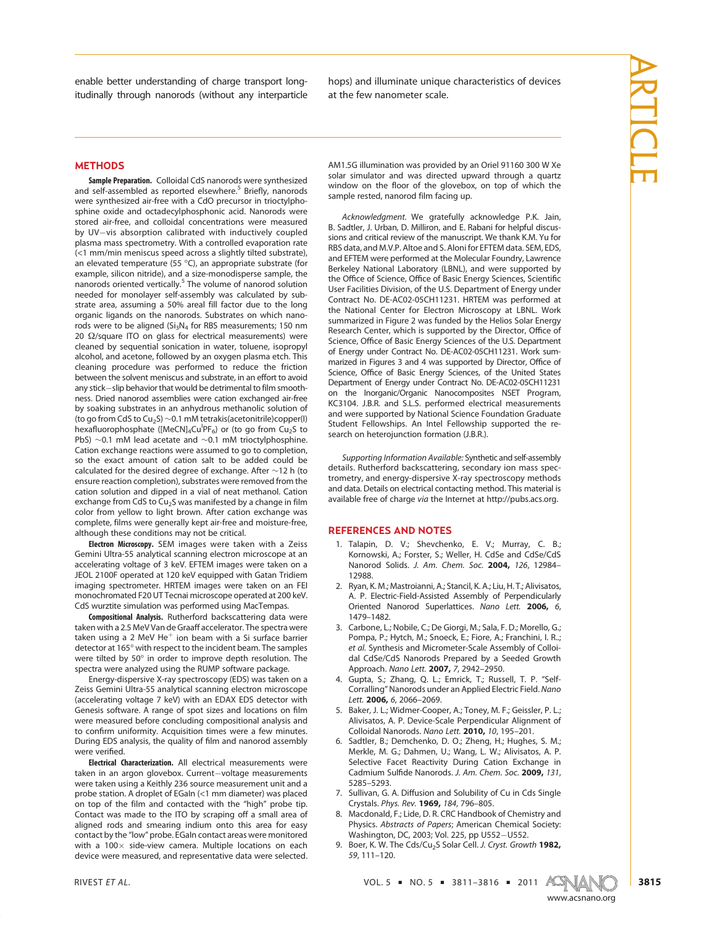en<br>Englische betalle betallige der understanding of charge transporties itudinally through nanorods (without any interpretation  $\mathbf{y}$   $h$  at the four papemeter scale

# ARTICLE

### **METHODS**

Sample Preparation. Colloidal CdS nanorods were synthesized and self-assembled as reported elsewhere.<sup>5</sup> Briefly, nanorods were synthesized air-free with a CdO precursor in trioctylphosphine oxide and octadecylphosphonic acid. Nanorods were stored air-free, and colloidal concentrations were measured by UV-vis absorption calibrated with inductively coupled plasma mass spectrometry. With a controlled evaporation rate  $\left($  <1 mm/min meniscus speed across a slightly tilted substrate), an elevated temperature  $(55 \text{ °C})$ , an appropriate substrate (for example, silicon pitride), and a size-monodisperse sample, the example, silicon nitride), and a size-monodisperse sample, the nanorods oriented vertically.<sup>5</sup> The volume of nanorod solution needed for monolayer self-assembly was calculated by substrate area, assuming a 50% areal fill factor due to the long organic ligands on the nanorods. Substrates on which nanorods were to be aligned ( $Si<sub>3</sub>N<sub>4</sub>$  for RBS measurements; 150 nm 20  $\Omega$ /square ITO on glass for electrical measurements) were<br>cleaned by sequential sonication in water toluene isonropyl cleaned by sequential sonication in water, toluene, isopropyl<br>alcohol, and acetone, followed by an oxygen plasma etch. This cleaning procedure was performed to reduce the friction between the solvent meniscus and substrate, in an effort to avoid any stick-slip behavior that would be detrimental to film smoothness. Dried nanorod assemblies were cation exchanged air-free by soaking substrates in an anhydrous methanolic solution of (to go from CdS to Cu<sub>2</sub>S) ~0.1 mM tetrakis (acetonitrile) copper(l) hexafluorophosphate ([MeCN]<sub>4</sub>Cu<sup>I</sup>PF<sub>6</sub>) or (to go from Cu<sub>2</sub>S to nexafluorophosphate ([MeCN]<sub>4</sub>CuPF<sub>6</sub>) or (to go from Cu<sub>2</sub>S to<br>PbS)  $\sim$ 0.1 mM lead acetate and  $\sim$ 0.1 mM trioctylphosphine Cation exchange reactions were assumed to go to completion, so the exact amount of cation salt to be added could be calculated for the desired degree of exchange. After  $\sim$ 12 h (to ensure reaction completion), substrates were removed from the cation solution and dipped in a vial of neat methanol. Cation exchange from CdS to Cu<sub>2</sub>S was manifested by a change in film color from yellow to light brown. After cation exchange was complete, films were generally kept air-free and moisture-free. although these conditions may not be critical.

**Electron Microscopy.** SEM images were taken with a Zeiss<br>Gemini Ultra-55 analytical scanning electron microscope at an Gemini Ultra-55 analytical scanning electron microscope at an accelerating voltage of 3 keV. EFTEM images were taken on a JEOL 2100F operated at 120 keV equipped with Gatan Tridiem imaging spectrometer. HRTEM images were taken on an FEI monochromated F20 UT Tecnai microscope operated at 200 keV. CdS wurztite simulation was performed using MacTempas.

Compositional Analysis. Rutherford backscattering data were<br>taken with a 2.5 MeV Van de Graaff accelerator. The spectra were taken using a 2 MeV  $He^+$  ion beam with a Si surface barrier<br>detector at 165° with respect to the incident beam. The samples detector at 165° with respect to the incident beam. The samples were tilted by 50 $^{\circ}$  in order to improve depth resolution. The spectra were analyzed using the BUMP software package. spectra were analyzed using the RUMP software package.

Energy-dispersive X-ray spectroscopy (EDS) was taken on a Zeiss Gemini Ultra-55 analytical scanning electron microscope (accelerating voltage 7 keV) with an EDAX EDS detector with Genesis software. A range of spot sizes and locations on film<br>were measured before concluding compositional analysis and to confirm uniformity. Acquisition times were a few minutes.<br>During EDS analysis the quality of film and nanorod assembly During EDS analysis, the quality of film and nanorod assembly were verified.

Electrical Characterization. All electrical measurements were taken in an argon glovebox. Current-voltage measurements<br>were taken using a Keithly 236 source measurement unit and a probe station. A droplet of EGaIn (<1 mm diameter) was placed on top of the film and contacted with the "high" probe tip.<br>Contact was made to the ITO by scraping off a small area of Contact was made to the ITO by scraping off a small area of aligned rods and smearing indium onto this area for easy aligned room and smearing individual contact areas were monitored<br>with a  $100 \times$  side-view cameral Multiple locations on each with a 100× side-view camera. Multiple locations on each<br>device were measured and representative data were selected device were measured, and representative data were selected.

AM1.5G illumination was provided by an Oriel 91160 300 W Xe window on the floor of the glovebox, on top of which the which the first of the glovecast, on top of which the sample rested, nanorod film facing up.

Acknowledgment. We gratefully acknowledge P.K. Jain, sions and critical review of the manuscript. We thank K.M. Yu for RBS data, and M.V.P. Altoe and S. Aloni for EFTEM data, SEM. EDS. and EFTEM were performed at the Molecular Foundry, Lawrence Berkeley National Laboratory (LBNL), and were supported by Finance of Science, Office of Basic Energy Sciences, Scientific<br>Llser Eacilities Division of the U.S. Department of Energy under User Facilities Division, of the U.S. Department of Energy under<br>Contract No. DE-AC02-05CH11231. HRTEM was performed at the National Center for Electron Microscopy at LBNL. Work summarized in Figure 2 was funded by the Helios Solar Energy Research Center, which is supported by the Director, Office of<br>Science Office of Basic Energy Sciences of the U.S. Department Science, Office of Basic Energy Sciences of the U.S. Department of Energy under Contract No. DE-AC02-05CH11231. Work summarized in Figures 3 and 4 was supported by Director, Office of<br>Science, Office of Basic Energy Sciences, of the United States Science, Office of Basic Energy Sciences, of the United States<br>Department of Energy under Contract No. DE-AC02-05CH11231 on the Inorganic/Organic Nanocomposites NSET Program, KC3104. J.B.R. and S.L.S. performed electrical measurements and were supported by National Science Foundation Graduate Student Fellowships. An Intel Fellowship supported the re- $S$  search on heteroiunction formation  $(IBR)$ search on heterojunction formation (J.B.R.).

Supporting Information Available: Synthetic and self-assembly<br>details. Rutherford backscattering, secondary ion mass spectrometry, and energy-dispersive X-ray spectroscopy methods and data. Details on electrical contacting method. This material is available free of charge via the Internet at http://pubs.acs.org.

## REFERENCES AND NOTES

- 1. Talapin, D. V.; Shevchenko, E. V.; Murray, C. B.; Kornowski, A.; Forster, S.; Weller, H. CdSe and CdSe/CdS Kornowski, A.; Forster, S.; Weller, H. CdSe and CdSe/CdS Nanorod Solids. J. Am. Chem. Soc. 2004, <sup>126</sup>, 12984–
- 2. Ryan, K. M.; Mastroianni, A.; Stancil, K. A.; Liu, H. T.; Alivisatos, A. P. Electric-Field-Assisted Assembly of Perpendicularly Oriented Nanorod Superlattices. Nano Lett. **2006,** 6,<br>Oriented Nanorod Superlattices. Nano Lett. **2006,** 6,
- 1479–1482.<br>3. Carbone, L.; Nobile, C.; De Giorgi, M.; Sala, F. D.; Morello, G.; Pompa, P.; Hytch, M.; Snoeck, E.; Fiore, A.; Franchini, I. R..; et al. Synthesis and Micrometer-Scale Assembly of Colloi-<br>dal. CdSe/CdS. Nanorods. Prenared. by a. Seeded. Growth Approach. Nano Lett. **2007,** 7, 2942–2950.<br>Gunta S.: Zhang Q. L.: Emrick T.: Russell T. P. "Self-
- 4. Gupta, S.; Zhang, Q. L.; Emrick, T.; Russell, T. P. "Self-Corralling" Nanorods under an Applied Electric Field. Nano Lett. 2006, 6, 2066-2069.<br>5. Baker, J. L.; Widmer-Cooper, A.; Toney, M. F.; Geissler, P. L.;
- Alivisatos, A. P. Device-Scale Perpendicular Alignment of Colloidal Nanorods. Nano Lett. 2010, 10, 195–201.<br>Sadtler B.: Demchenko, D. O.: Zheng, H.: Hughes, S. M.
- 6. Sadtler, B.; Demchenko, D. O.; Zheng, H.; Hughes, S. M.; Merkle, M. G.; Dahmen, U.; Wang, L. W.; Alivisatos, A. P. Selective Facet Reactivity During Cation Exchange in Cadmium Sulfide Nanorods. J. Am. Chem. Soc. 2009, 131,<br>5285–5293
- 5285–5293.<br>7. Sullivan, G. A. Diffusion and Solubility of Cu in Cds Single<br>Crystals, *Phys. Rev*. **1969**, 184, 796–805. Crystals. Phys. Rev. 1969, 184, 796–805.<br>8. Macdonald, F.; Lide, D. R. CRC Handbook of Chemistry and
- 8. Machonald, F.; Lide, O. R. Capture and Chemical Society:<br>
Physics. Abstracts of Papers; American Chemical Society:<br>
Washinoton DC 2003: Vol. 225 pp 11552-11552
- washington, DC, 2003; Vol. 225, pp U552–U552.<br>9. Boer, K. W. The Cds/Cu<sub>2</sub>S Solar Cell. *J. Cryst. Growth* **1982,**<br>59. 111–120 <sup>59</sup>, 111–120.



www.accom